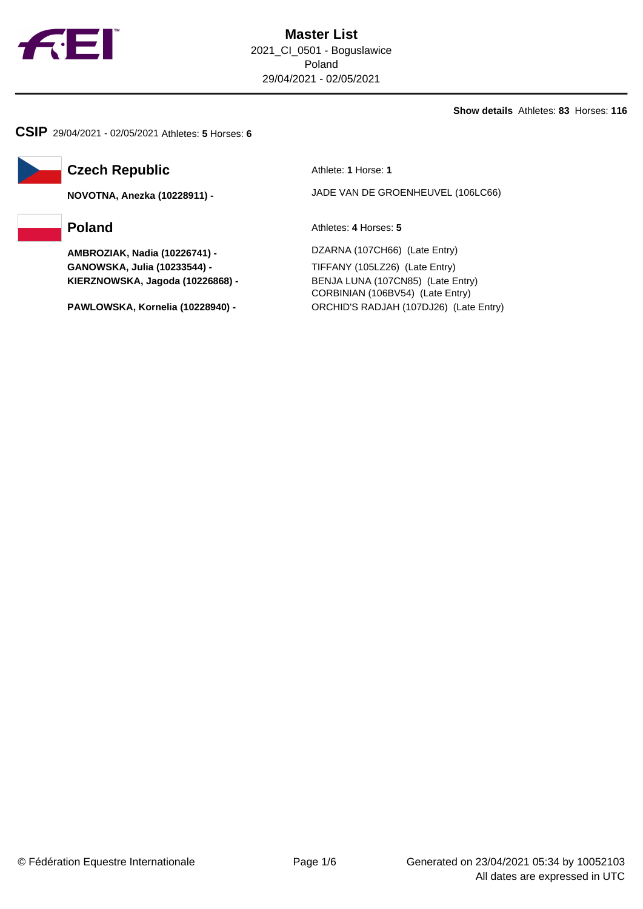

**Show details** Athletes: **83** Horses: **116**

**CSIP** 29/04/2021 - 02/05/2021 Athletes: **5** Horses: **6**



# **Czech Republic** Athlete: **1** Horse: **1**

**AMBROZIAK, Nadia (10226741) -** DZARNA (107CH66) (Late Entry) **GANOWSKA, Julia (10233544) -** TIFFANY (105LZ26) (Late Entry) **KIERZNOWSKA, Jagoda (10226868) -** BENJA LUNA (107CN85) (Late Entry)

**NOVOTNA, Anezka (10228911) -** JADE VAN DE GROENHEUVEL (106LC66)

**Poland** Athletes: 4 Horses: 5

CORBINIAN (106BV54) (Late Entry) **PAWLOWSKA, Kornelia (10228940) -** ORCHID'S RADJAH (107DJ26) (Late Entry)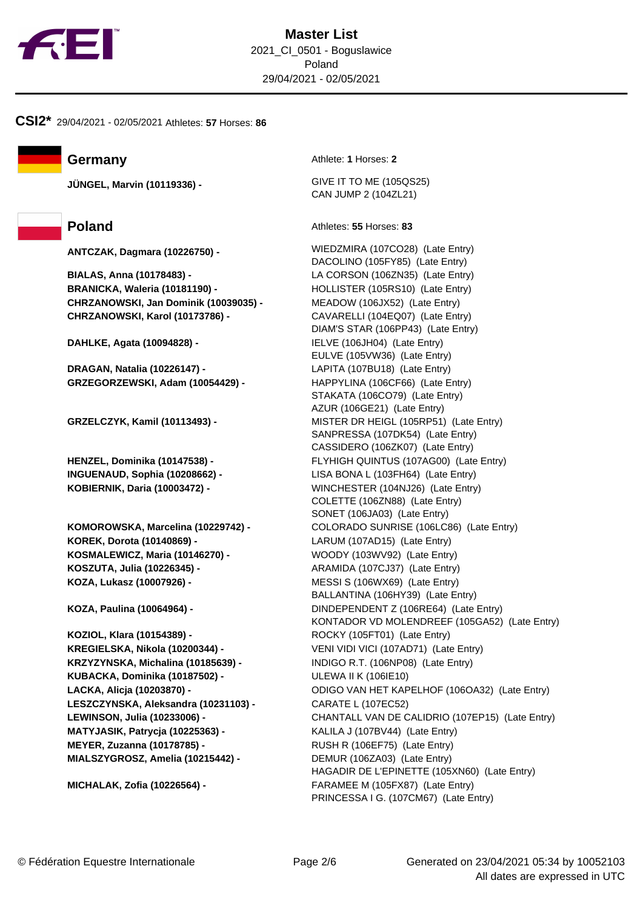

**CSI2\*** 29/04/2021 - 02/05/2021 Athletes: **57** Horses: **86**

**BIALAS, Anna (10178483) -** LA CORSON (106ZN35) (Late Entry) **BRANICKA, Waleria (10181190) -** HOLLISTER (105RS10) (Late Entry) **CHRZANOWSKI, Jan Dominik (10039035) -** MEADOW (106JX52) (Late Entry) **CHRZANOWSKI, Karol (10173786) -** CAVARELLI (104EQ07) (Late Entry)

**DRAGAN, Natalia (10226147) -** LAPITA (107BU18) (Late Entry) **GRZEGORZEWSKI, Adam (10054429) -** HAPPYLINA (106CF66) (Late Entry)

**KOREK, Dorota (10140869) -** LARUM (107AD15) (Late Entry) **KOSMALEWICZ, Maria (10146270) -** WOODY (103WV92) (Late Entry) **KOSZUTA, Julia (10226345) -** ARAMIDA (107CJ37) (Late Entry) **KOZA, Lukasz (10007926) -** MESSI S (106WX69) (Late Entry)

**KOZIOL, Klara (10154389) -** ROCKY (105FT01) (Late Entry) **KREGIELSKA, Nikola (10200344) -** VENI VIDI VICI (107AD71) (Late Entry) **KRZYZYNSKA, Michalina (10185639) -** INDIGO R.T. (106NP08) (Late Entry) **KUBACKA, Dominika (10187502) -** ULEWA II K (106IE10) **LESZCZYNSKA, Aleksandra (10231103) -** CARATE L (107EC52) **MATYJASIK, Patrycja (10225363) -** KALILA J (107BV44) (Late Entry) **MEYER, Zuzanna (10178785) -** RUSH R (106EF75) (Late Entry) **MIALSZYGROSZ, Amelia (10215442) -** DEMUR (106ZA03) (Late Entry)

**Germany Athlete: 1** Horses: 2

**JÜNGEL, Marvin (10119336) -** GIVE IT TO ME (105QS25) CAN JUMP 2 (104ZL21)

**Poland** Athletes: **55** Horses: **83** 

**ANTCZAK, Dagmara (10226750) -** WIEDZMIRA (107CO28) (Late Entry) DACOLINO (105FY85) (Late Entry) DIAM'S STAR (106PP43) (Late Entry) **DAHLKE, Agata (10094828) -** IELVE (106JH04) (Late Entry) EULVE (105VW36) (Late Entry) STAKATA (106CO79) (Late Entry) AZUR (106GE21) (Late Entry) **GRZELCZYK, Kamil (10113493) -** MISTER DR HEIGL (105RP51) (Late Entry) SANPRESSA (107DK54) (Late Entry) CASSIDERO (106ZK07) (Late Entry) **HENZEL, Dominika (10147538) -** FLYHIGH QUINTUS (107AG00) (Late Entry) **INGUENAUD, Sophia (10208662) -** LISA BONA L (103FH64) (Late Entry) **KOBIERNIK, Daria (10003472) -** WINCHESTER (104NJ26) (Late Entry) COLETTE (106ZN88) (Late Entry) SONET (106JA03) (Late Entry) **KOMOROWSKA, Marcelina (10229742) -** COLORADO SUNRISE (106LC86) (Late Entry) BALLANTINA (106HY39) (Late Entry) **KOZA, Paulina (10064964) -** DINDEPENDENT Z (106RE64) (Late Entry) KONTADOR VD MOLENDREEF (105GA52) (Late Entry) **LACKA, Alicja (10203870) -** ODIGO VAN HET KAPELHOF (106OA32) (Late Entry) **LEWINSON, Julia (10233006) -** CHANTALL VAN DE CALIDRIO (107EP15) (Late Entry) HAGADIR DE L'EPINETTE (105XN60) (Late Entry) **MICHALAK, Zofia (10226564) -** FARAMEE M (105FX87) (Late Entry) PRINCESSA I G. (107CM67) (Late Entry)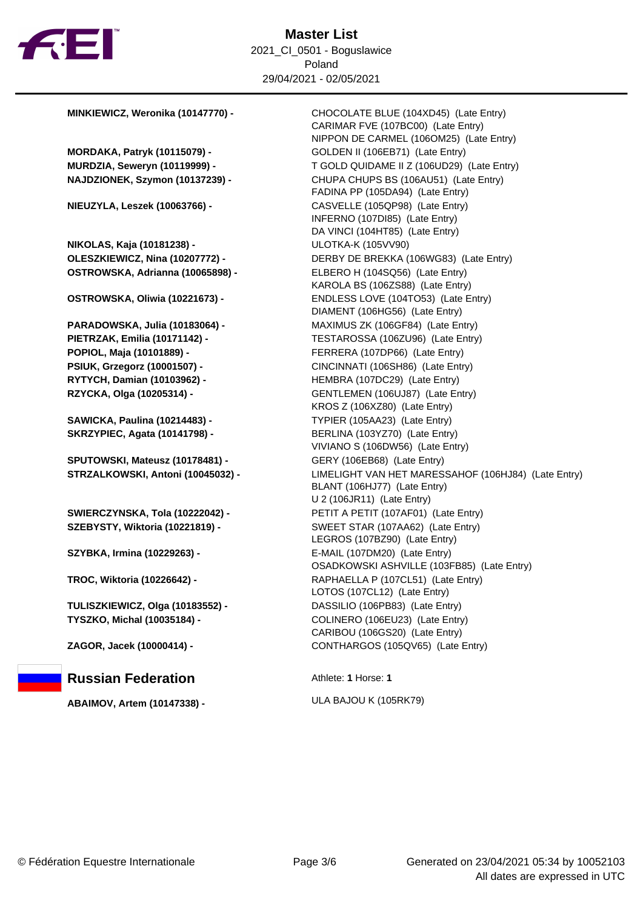

**MORDAKA, Patryk (10115079) -** GOLDEN II (106EB71) (Late Entry)

**NIKOLAS, Kaja (10181238) -** ULOTKA-K (105VV90) **OSTROWSKA, Adrianna (10065898) -** ELBERO H (104SQ56) (Late Entry)

**POPIOL, Maja (10101889) -** FERRERA (107DP66) (Late Entry) **RYTYCH, Damian (10103962) -** HEMBRA (107DC29) (Late Entry)

**SAWICKA, Paulina (10214483) -** TYPIER (105AA23) (Late Entry) **SKRZYPIEC, Agata (10141798) -** BERLINA (103YZ70) (Late Entry)

**SPUTOWSKI, Mateusz (10178481) -** GERY (106EB68) (Late Entry)

**TULISZKIEWICZ, Olga (10183552) -** DASSILIO (106PB83) (Late Entry) **TYSZKO, Michal (10035184) -** COLINERO (106EU23) (Late Entry)

### **Russian Federation Athlete: 1 Horse: 1**

**ABAIMOV, Artem (10147338) -** ULA BAJOU K (105RK79)

**MINKIEWICZ, Weronika (10147770) -** CHOCOLATE BLUE (104XD45) (Late Entry) CARIMAR FVE (107BC00) (Late Entry) NIPPON DE CARMEL (106OM25) (Late Entry) **MURDZIA, Seweryn (10119999) -** T GOLD QUIDAME II Z (106UD29) (Late Entry) **NAJDZIONEK, Szymon (10137239) -** CHUPA CHUPS BS (106AU51) (Late Entry) FADINA PP (105DA94) (Late Entry) **NIEUZYLA, Leszek (10063766) -** CASVELLE (105QP98) (Late Entry) INFERNO (107DI85) (Late Entry) DA VINCI (104HT85) (Late Entry) **OLESZKIEWICZ, Nina (10207772) -** DERBY DE BREKKA (106WG83) (Late Entry) KAROLA BS (106ZS88) (Late Entry) **OSTROWSKA, Oliwia (10221673) -** ENDLESS LOVE (104TO53) (Late Entry) DIAMENT (106HG56) (Late Entry) **PARADOWSKA, Julia (10183064) -** MAXIMUS ZK (106GF84) (Late Entry) **PIETRZAK, Emilia (10171142) -** TESTAROSSA (106ZU96) (Late Entry) **PSIUK, Grzegorz (10001507) -** CINCINNATI (106SH86) (Late Entry) **RZYCKA, Olga (10205314) -** GENTLEMEN (106UJ87) (Late Entry) KROS Z (106XZ80) (Late Entry) VIVIANO S (106DW56) (Late Entry) **STRZALKOWSKI, Antoni (10045032) -** LIMELIGHT VAN HET MARESSAHOF (106HJ84) (Late Entry) BLANT (106HJ77) (Late Entry) U 2 (106JR11) (Late Entry) **SWIERCZYNSKA, Tola (10222042) -** PETIT A PETIT (107AF01) (Late Entry) **SZEBYSTY, Wiktoria (10221819) -** SWEET STAR (107AA62) (Late Entry) LEGROS (107BZ90) (Late Entry) **SZYBKA, Irmina (10229263) -** E-MAIL (107DM20) (Late Entry) OSADKOWSKI ASHVILLE (103FB85) (Late Entry) **TROC, Wiktoria (10226642) -** RAPHAELLA P (107CL51) (Late Entry) LOTOS (107CL12) (Late Entry) CARIBOU (106GS20) (Late Entry) **ZAGOR, Jacek (10000414) -** CONTHARGOS (105QV65) (Late Entry)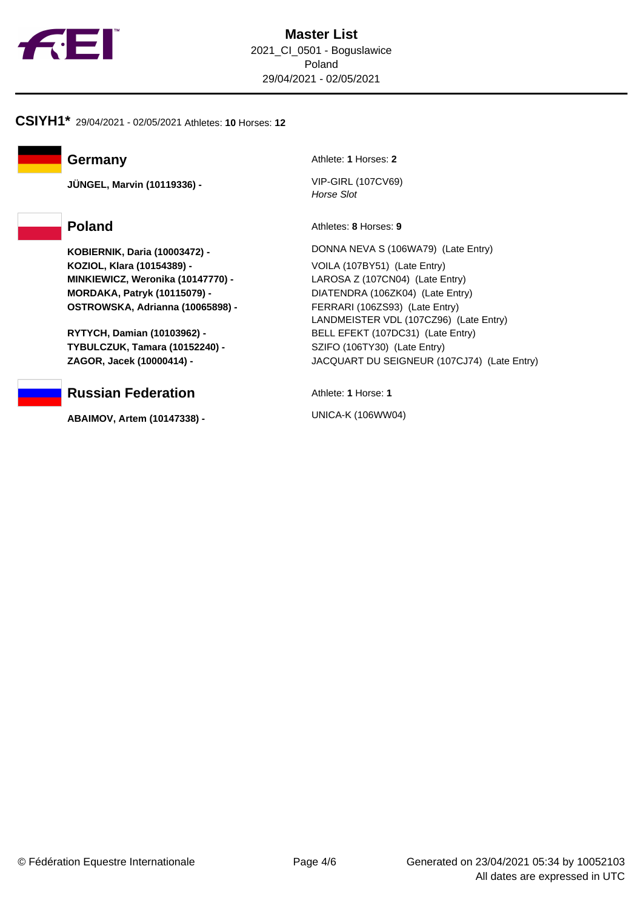

**CSIYH1\*** 29/04/2021 - 02/05/2021 Athletes: **10** Horses: **12**

**JÜNGEL, Marvin (10119336) -** VIP-GIRL (107CV69)

**KOZIOL, Klara (10154389) -** VOILA (107BY51) (Late Entry) **MINKIEWICZ, Weronika (10147770) -** LAROSA Z (107CN04) (Late Entry) **MORDAKA, Patryk (10115079) -** DIATENDRA (106ZK04) (Late Entry) **OSTROWSKA, Adrianna (10065898) -** FERRARI (106ZS93) (Late Entry)

**TYBULCZUK, Tamara (10152240) -** SZIFO (106TY30) (Late Entry)

# **Russian Federation Athlete: 1 Horse: 1**

**ABAIMOV, Artem (10147338) -** UNICA-K (106WW04)

**Germany Athlete: 1** Horses: 2

Horse Slot

**Poland** Athletes: **8** Horses: **9** 

**KOBIERNIK, Daria (10003472) -** DONNA NEVA S (106WA79) (Late Entry) LANDMEISTER VDL (107CZ96) (Late Entry) **RYTYCH, Damian (10103962) -** BELL EFEKT (107DC31) (Late Entry) **ZAGOR, Jacek (10000414) -** JACQUART DU SEIGNEUR (107CJ74) (Late Entry)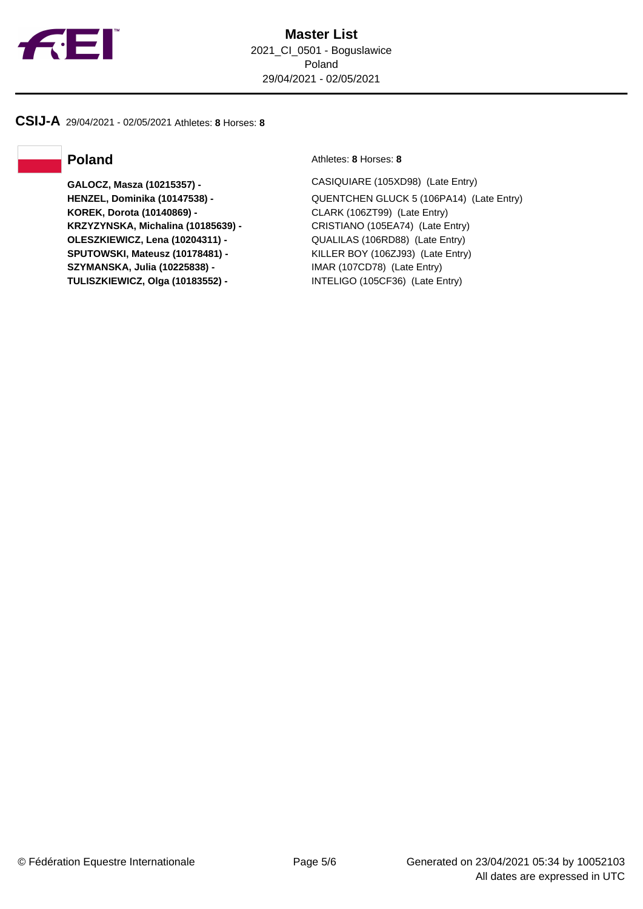

### **CSIJ-A** 29/04/2021 - 02/05/2021 Athletes: **8** Horses: **8**

**KOREK, Dorota (10140869) -** CLARK (106ZT99) (Late Entry) **KRZYZYNSKA, Michalina (10185639) -** CRISTIANO (105EA74) (Late Entry) **OLESZKIEWICZ, Lena (10204311) -** QUALILAS (106RD88) (Late Entry) **SPUTOWSKI, Mateusz (10178481) -** KILLER BOY (106ZJ93) (Late Entry) **SZYMANSKA, Julia (10225838) -** IMAR (107CD78) (Late Entry) **TULISZKIEWICZ, Olga (10183552) -** INTELIGO (105CF36) (Late Entry)

**Poland** Athletes: **8** Horses: **8** 

**GALOCZ, Masza (10215357) -** CASIQUIARE (105XD98) (Late Entry) **HENZEL, Dominika (10147538) -** QUENTCHEN GLUCK 5 (106PA14) (Late Entry)